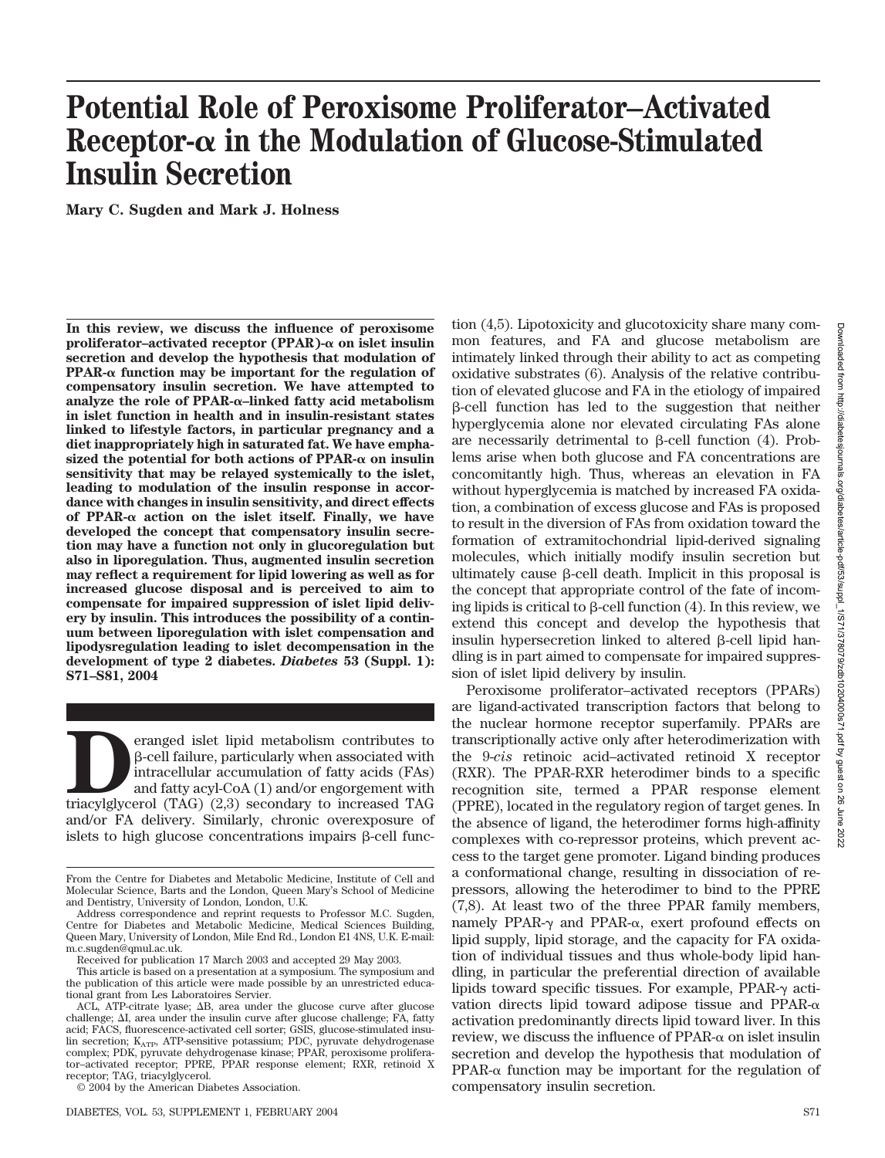# **Potential Role of Peroxisome Proliferator–Activated Receptor- in the Modulation of Glucose-Stimulated Insulin Secretion**

**Mary C. Sugden and Mark J. Holness**

**In this review, we discuss the influence of peroxisome** proliferator-activated receptor (PPAR) $-\alpha$  on islet insulin **secretion and develop the hypothesis that modulation of PPAR-** $\alpha$  **function may be important for the regulation of compensatory insulin secretion. We have attempted to analyze the role of PPAR-–linked fatty acid metabolism in islet function in health and in insulin-resistant states linked to lifestyle factors, in particular pregnancy and a diet inappropriately high in saturated fat. We have empha**sized the potential for both actions of  $PPAR-\alpha$  on insulin **sensitivity that may be relayed systemically to the islet, leading to modulation of the insulin response in accordance with changes in insulin sensitivity, and direct effects** of PPAR- $\alpha$  action on the islet itself. Finally, we have **developed the concept that compensatory insulin secretion may have a function not only in glucoregulation but also in liporegulation. Thus, augmented insulin secretion may reflect a requirement for lipid lowering as well as for increased glucose disposal and is perceived to aim to compensate for impaired suppression of islet lipid delivery by insulin. This introduces the possibility of a continuum between liporegulation with islet compensation and lipodysregulation leading to islet decompensation in the development of type 2 diabetes.** *Diabetes* **53 (Suppl. 1): S71–S81, 2004**

eranged islet lipid metabolism contributes to  $\beta$ -cell failure, particularly when associated with intracellular accumulation of fatty acids (FAs) and fatty acyl-CoA (1) and/or engorgement with triacylglycerol (TAG)  $(2,3$ -cell failure, particularly when associated with intracellular accumulation of fatty acids (FAs) and fatty acyl-CoA (1) and/or engorgement with and/or FA delivery. Similarly, chronic overexposure of islets to high glucose concentrations impairs  $\beta$ -cell function (4,5). Lipotoxicity and glucotoxicity share many common features, and FA and glucose metabolism are intimately linked through their ability to act as competing oxidative substrates (6). Analysis of the relative contribution of elevated glucose and FA in the etiology of impaired  $\beta$ -cell function has led to the suggestion that neither hyperglycemia alone nor elevated circulating FAs alone are necessarily detrimental to  $\beta$ -cell function (4). Problems arise when both glucose and FA concentrations are concomitantly high. Thus, whereas an elevation in FA without hyperglycemia is matched by increased FA oxidation, a combination of excess glucose and FAs is proposed to result in the diversion of FAs from oxidation toward the formation of extramitochondrial lipid-derived signaling molecules, which initially modify insulin secretion but ultimately cause  $\beta$ -cell death. Implicit in this proposal is the concept that appropriate control of the fate of incoming lipids is critical to  $\beta$ -cell function (4). In this review, we extend this concept and develop the hypothesis that insulin hypersecretion linked to altered  $\beta$ -cell lipid handling is in part aimed to compensate for impaired suppression of islet lipid delivery by insulin.

Peroxisome proliferator–activated receptors (PPARs) are ligand-activated transcription factors that belong to the nuclear hormone receptor superfamily. PPARs are transcriptionally active only after heterodimerization with the 9-*cis* retinoic acid–activated retinoid X receptor (RXR). The PPAR-RXR heterodimer binds to a specific recognition site, termed a PPAR response element (PPRE), located in the regulatory region of target genes. In the absence of ligand, the heterodimer forms high-affinity complexes with co-repressor proteins, which prevent access to the target gene promoter. Ligand binding produces a conformational change, resulting in dissociation of repressors, allowing the heterodimer to bind to the PPRE (7,8). At least two of the three PPAR family members, namely PPAR- $\gamma$  and PPAR- $\alpha$ , exert profound effects on lipid supply, lipid storage, and the capacity for FA oxidation of individual tissues and thus whole-body lipid handling, in particular the preferential direction of available lipids toward specific tissues. For example,  $PPAR-\gamma$  activation directs lipid toward adipose tissue and PPAR- $\alpha$ activation predominantly directs lipid toward liver. In this review, we discuss the influence of  $PPAR-\alpha$  on islet insulin secretion and develop the hypothesis that modulation of PPAR- $\alpha$  function may be important for the regulation of compensatory insulin secretion.

From the Centre for Diabetes and Metabolic Medicine, Institute of Cell and Molecular Science, Barts and the London, Queen Mary's School of Medicine and Dentistry, University of London, London, U.K.

Address correspondence and reprint requests to Professor M.C. Sugden, Centre for Diabetes and Metabolic Medicine, Medical Sciences Building, Queen Mary, University of London, Mile End Rd., London E1 4NS, U.K. E-mail: m.c.sugden@qmul.ac.uk.

Received for publication 17 March 2003 and accepted 29 May 2003.

This article is based on a presentation at a symposium. The symposium and the publication of this article were made possible by an unrestricted educational grant from Les Laboratoires Servier.

 $ACL$ , ATP-citrate lyase;  $\Delta B$ , area under the glucose curve after glucose challenge;  $\Delta I$ , area under the insulin curve after glucose challenge; FA, fatty acid; FACS, fluorescence-activated cell sorter; GSIS, glucose-stimulated insulin secretion;  $\mathbf{K}_{\mathrm{ATP}},$  ATP-sensitive potassium; PDC, pyruvate dehydrogenase complex; PDK, pyruvate dehydrogenase kinase; PPAR, peroxisome proliferator–activated receptor; PPRE, PPAR response element; RXR, retinoid X receptor; TAG, triacylglycerol.

<sup>© 2004</sup> by the American Diabetes Association.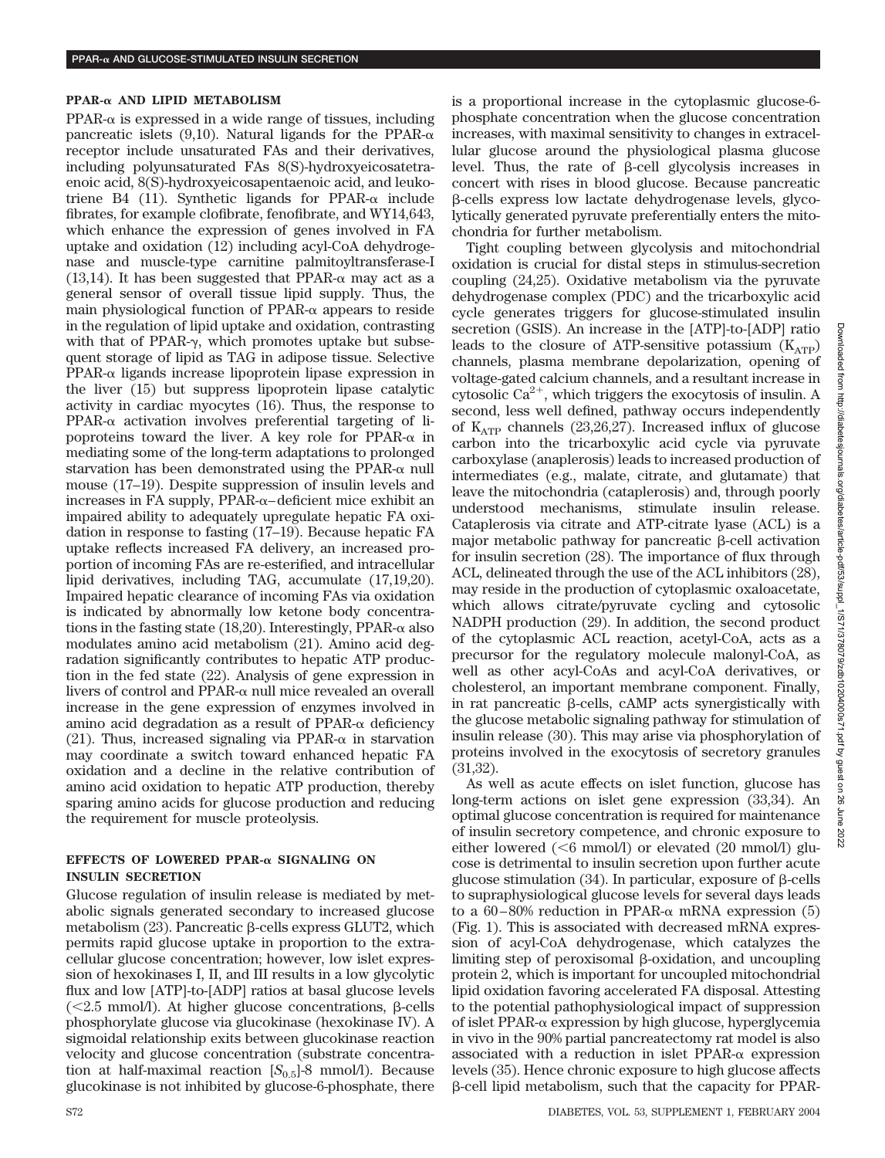#### **PPAR- AND LIPID METABOLISM**

 $PPAR-\alpha$  is expressed in a wide range of tissues, including pancreatic islets (9,10). Natural ligands for the PPAR- $\alpha$ receptor include unsaturated FAs and their derivatives, including polyunsaturated FAs 8(S)-hydroxyeicosatetraenoic acid, 8(S)-hydroxyeicosapentaenoic acid, and leukotriene B4 (11). Synthetic ligands for PPAR- $\alpha$  include fibrates, for example clofibrate, fenofibrate, and WY14,643, which enhance the expression of genes involved in FA uptake and oxidation (12) including acyl-CoA dehydrogenase and muscle-type carnitine palmitoyltransferase-I (13,14). It has been suggested that PPAR- $\alpha$  may act as a general sensor of overall tissue lipid supply. Thus, the main physiological function of  $PPAR-\alpha$  appears to reside in the regulation of lipid uptake and oxidation, contrasting with that of PPAR- $\gamma$ , which promotes uptake but subsequent storage of lipid as TAG in adipose tissue. Selective  $PPAR-\alpha$  ligands increase lipoprotein lipase expression in the liver (15) but suppress lipoprotein lipase catalytic activity in cardiac myocytes (16). Thus, the response to  $PPAR-\alpha$  activation involves preferential targeting of lipoproteins toward the liver. A key role for PPAR- $\alpha$  in mediating some of the long-term adaptations to prolonged starvation has been demonstrated using the PPAR- $\alpha$  null mouse (17–19). Despite suppression of insulin levels and increases in FA supply,  $PPAR-\alpha$ –deficient mice exhibit an impaired ability to adequately upregulate hepatic FA oxidation in response to fasting (17–19). Because hepatic FA uptake reflects increased FA delivery, an increased proportion of incoming FAs are re-esterified, and intracellular lipid derivatives, including TAG, accumulate (17,19,20). Impaired hepatic clearance of incoming FAs via oxidation is indicated by abnormally low ketone body concentrations in the fasting state (18,20). Interestingly, PPAR- $\alpha$  also modulates amino acid metabolism (21). Amino acid degradation significantly contributes to hepatic ATP production in the fed state (22). Analysis of gene expression in livers of control and  $PPAR-\alpha$  null mice revealed an overall increase in the gene expression of enzymes involved in amino acid degradation as a result of PPAR- $\alpha$  deficiency (21). Thus, increased signaling via PPAR- $\alpha$  in starvation may coordinate a switch toward enhanced hepatic FA oxidation and a decline in the relative contribution of amino acid oxidation to hepatic ATP production, thereby sparing amino acids for glucose production and reducing the requirement for muscle proteolysis.

## **EFFECTS OF LOWERED PPAR- SIGNALING ON INSULIN SECRETION**

Glucose regulation of insulin release is mediated by metabolic signals generated secondary to increased glucose metabolism  $(23)$ . Pancreatic  $\beta$ -cells express GLUT2, which permits rapid glucose uptake in proportion to the extracellular glucose concentration; however, low islet expression of hexokinases I, II, and III results in a low glycolytic flux and low [ATP]-to-[ADP] ratios at basal glucose levels ( $\leq$ 2.5 mmol/l). At higher glucose concentrations,  $\beta$ -cells phosphorylate glucose via glucokinase (hexokinase IV). A sigmoidal relationship exits between glucokinase reaction velocity and glucose concentration (substrate concentration at half-maximal reaction  $[S_{0.5}]$ -8 mmol/l). Because glucokinase is not inhibited by glucose-6-phosphate, there

is a proportional increase in the cytoplasmic glucose-6 phosphate concentration when the glucose concentration increases, with maximal sensitivity to changes in extracellular glucose around the physiological plasma glucose level. Thus, the rate of  $\beta$ -cell glycolysis increases in concert with rises in blood glucose. Because pancreatic -cells express low lactate dehydrogenase levels, glycolytically generated pyruvate preferentially enters the mitochondria for further metabolism.

Tight coupling between glycolysis and mitochondrial oxidation is crucial for distal steps in stimulus-secretion coupling (24,25). Oxidative metabolism via the pyruvate dehydrogenase complex (PDC) and the tricarboxylic acid cycle generates triggers for glucose-stimulated insulin secretion (GSIS). An increase in the [ATP]-to-[ADP] ratio leads to the closure of ATP-sensitive potassium  $(K_{ATP})$ channels, plasma membrane depolarization, opening of voltage-gated calcium channels, and a resultant increase in cytosolic  $Ca^{2+}$ , which triggers the exocytosis of insulin. A second, less well defined, pathway occurs independently of  $K_{ATP}$  channels (23,26,27). Increased influx of glucose carbon into the tricarboxylic acid cycle via pyruvate carboxylase (anaplerosis) leads to increased production of intermediates (e.g., malate, citrate, and glutamate) that leave the mitochondria (cataplerosis) and, through poorly understood mechanisms, stimulate insulin release. Cataplerosis via citrate and ATP-citrate lyase (ACL) is a major metabolic pathway for pancreatic  $\beta$ -cell activation for insulin secretion (28). The importance of flux through ACL, delineated through the use of the ACL inhibitors (28), may reside in the production of cytoplasmic oxaloacetate, which allows citrate/pyruvate cycling and cytosolic NADPH production (29). In addition, the second product of the cytoplasmic ACL reaction, acetyl-CoA, acts as a precursor for the regulatory molecule malonyl-CoA, as well as other acyl-CoAs and acyl-CoA derivatives, or cholesterol, an important membrane component. Finally, in rat pancreatic  $\beta$ -cells, cAMP acts synergistically with the glucose metabolic signaling pathway for stimulation of insulin release (30). This may arise via phosphorylation of proteins involved in the exocytosis of secretory granules (31,32).

As well as acute effects on islet function, glucose has long-term actions on islet gene expression (33,34). An optimal glucose concentration is required for maintenance of insulin secretory competence, and chronic exposure to either lowered  $( $6 \text{ mmol/l}$ ) or elevated (20 mmol/l) glu$ cose is detrimental to insulin secretion upon further acute glucose stimulation  $(34)$ . In particular, exposure of  $\beta$ -cells to supraphysiological glucose levels for several days leads to a 60–80% reduction in PPAR- $\alpha$  mRNA expression (5) (Fig. 1). This is associated with decreased mRNA expression of acyl-CoA dehydrogenase, which catalyzes the limiting step of peroxisomal  $\beta$ -oxidation, and uncoupling protein 2, which is important for uncoupled mitochondrial lipid oxidation favoring accelerated FA disposal. Attesting to the potential pathophysiological impact of suppression of islet PPAR- $\alpha$  expression by high glucose, hyperglycemia in vivo in the 90% partial pancreatectomy rat model is also associated with a reduction in islet  $PPAR-\alpha$  expression levels (35). Hence chronic exposure to high glucose affects -cell lipid metabolism, such that the capacity for PPAR-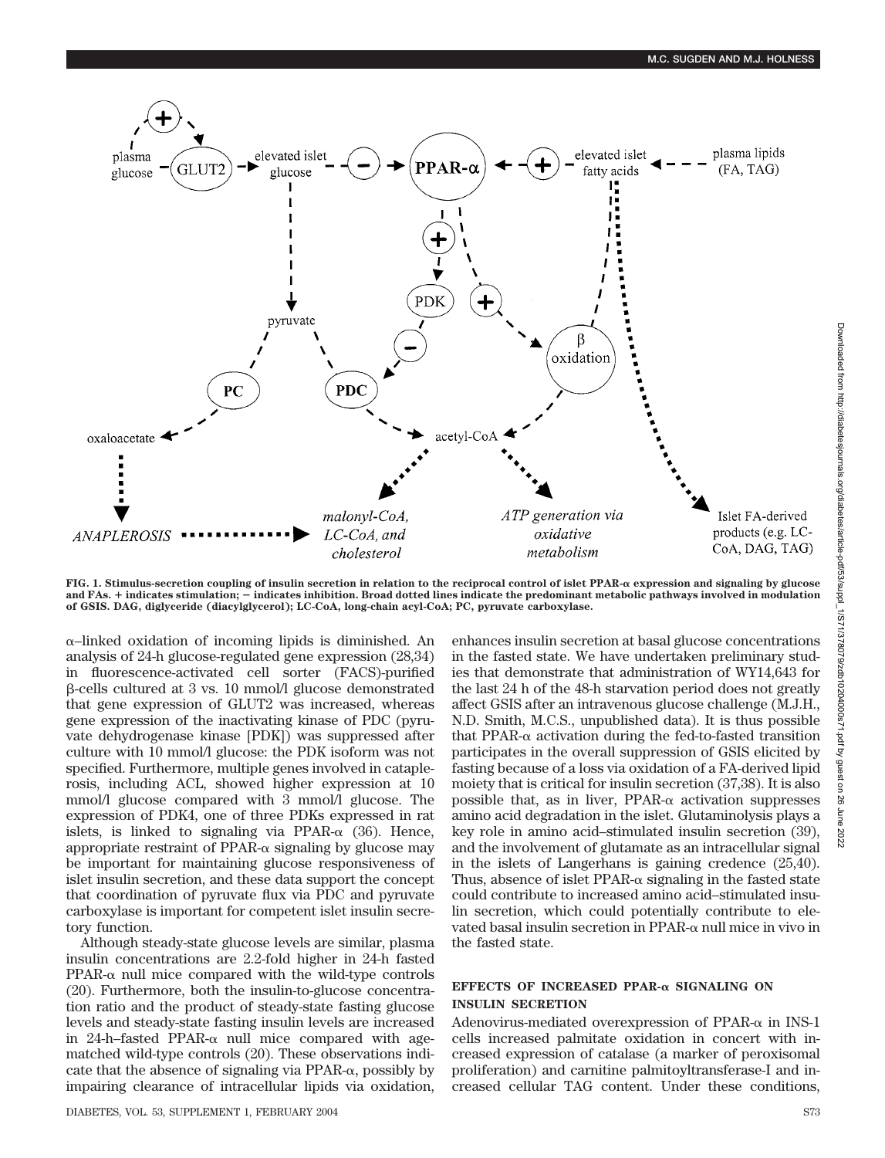

**FIG. 1. Stimulus-secretion coupling of insulin secretion in relation to the reciprocal control of islet PPAR- expression and signaling by glucose and FAs.** - **indicates stimulation; indicates inhibition. Broad dotted lines indicate the predominant metabolic pathways involved in modulation of GSIS. DAG, diglyceride (diacylglycerol); LC-CoA, long-chain acyl-CoA; PC, pyruvate carboxylase.**

 $\alpha$ –linked oxidation of incoming lipids is diminished. An analysis of 24-h glucose-regulated gene expression (28,34) in fluorescence-activated cell sorter (FACS)-purified -cells cultured at 3 vs. 10 mmol/l glucose demonstrated that gene expression of GLUT2 was increased, whereas gene expression of the inactivating kinase of PDC (pyruvate dehydrogenase kinase [PDK]) was suppressed after culture with 10 mmol/l glucose: the PDK isoform was not specified. Furthermore, multiple genes involved in cataplerosis, including ACL, showed higher expression at 10 mmol/l glucose compared with 3 mmol/l glucose. The expression of PDK4, one of three PDKs expressed in rat islets, is linked to signaling via PPAR- $\alpha$  (36). Hence, appropriate restraint of PPAR- $\alpha$  signaling by glucose may be important for maintaining glucose responsiveness of islet insulin secretion, and these data support the concept that coordination of pyruvate flux via PDC and pyruvate carboxylase is important for competent islet insulin secretory function.

Although steady-state glucose levels are similar, plasma insulin concentrations are 2.2-fold higher in 24-h fasted  $PPAR-\alpha$  null mice compared with the wild-type controls (20). Furthermore, both the insulin-to-glucose concentration ratio and the product of steady-state fasting glucose levels and steady-state fasting insulin levels are increased in 24-h–fasted PPAR- $\alpha$  null mice compared with agematched wild-type controls (20). These observations indicate that the absence of signaling via  $PPAR-\alpha$ , possibly by impairing clearance of intracellular lipids via oxidation, enhances insulin secretion at basal glucose concentrations in the fasted state. We have undertaken preliminary studies that demonstrate that administration of WY14,643 for the last 24 h of the 48-h starvation period does not greatly affect GSIS after an intravenous glucose challenge (M.J.H., N.D. Smith, M.C.S., unpublished data). It is thus possible that PPAR- $\alpha$  activation during the fed-to-fasted transition participates in the overall suppression of GSIS elicited by fasting because of a loss via oxidation of a FA-derived lipid moiety that is critical for insulin secretion (37,38). It is also possible that, as in liver,  $PPAR-\alpha$  activation suppresses amino acid degradation in the islet. Glutaminolysis plays a key role in amino acid–stimulated insulin secretion (39), and the involvement of glutamate as an intracellular signal in the islets of Langerhans is gaining credence (25,40). Thus, absence of islet  $PPAR-\alpha$  signaling in the fasted state could contribute to increased amino acid–stimulated insulin secretion, which could potentially contribute to elevated basal insulin secretion in PPAR- $\alpha$  null mice in vivo in the fasted state.

# EFFECTS OF INCREASED PPAR- $\alpha$  SIGNALING ON **INSULIN SECRETION**

Adenovirus-mediated overexpression of PPAR- $\alpha$  in INS-1 cells increased palmitate oxidation in concert with increased expression of catalase (a marker of peroxisomal proliferation) and carnitine palmitoyltransferase-I and increased cellular TAG content. Under these conditions,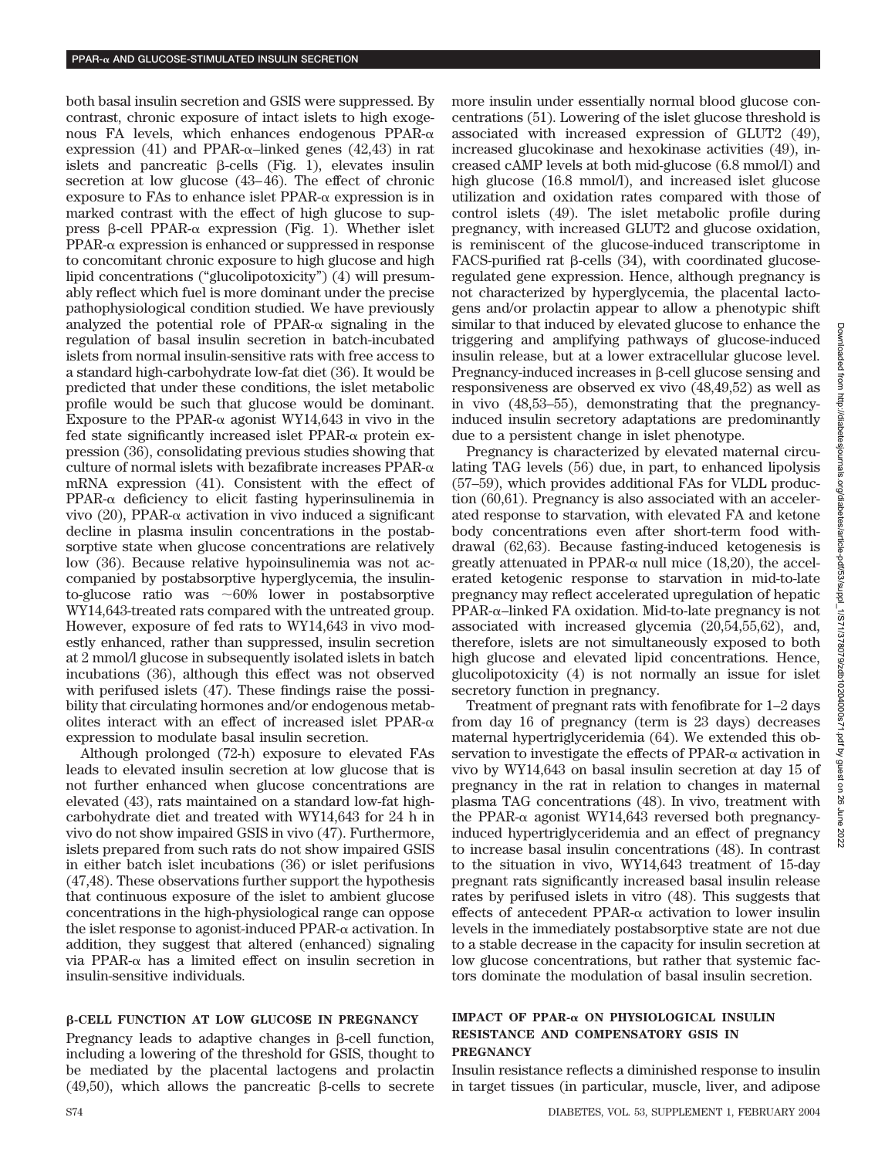both basal insulin secretion and GSIS were suppressed. By contrast, chronic exposure of intact islets to high exogenous FA levels, which enhances endogenous  $PPAR-\alpha$ expression (41) and PPAR- $\alpha$ -linked genes (42,43) in rat islets and pancreatic  $\beta$ -cells (Fig. 1), elevates insulin secretion at low glucose (43–46). The effect of chronic exposure to FAs to enhance islet  $PPAR-\alpha$  expression is in marked contrast with the effect of high glucose to suppress  $\beta$ -cell PPAR- $\alpha$  expression (Fig. 1). Whether islet  $PPAR-\alpha$  expression is enhanced or suppressed in response to concomitant chronic exposure to high glucose and high lipid concentrations ("glucolipotoxicity") (4) will presumably reflect which fuel is more dominant under the precise pathophysiological condition studied. We have previously analyzed the potential role of PPAR- $\alpha$  signaling in the regulation of basal insulin secretion in batch-incubated islets from normal insulin-sensitive rats with free access to a standard high-carbohydrate low-fat diet (36). It would be predicted that under these conditions, the islet metabolic profile would be such that glucose would be dominant. Exposure to the PPAR- $\alpha$  agonist WY14,643 in vivo in the fed state significantly increased islet  $PPAR-\alpha$  protein expression (36), consolidating previous studies showing that culture of normal islets with bezafibrate increases  $PPAR-\alpha$ mRNA expression (41). Consistent with the effect of  $PPAR-\alpha$  deficiency to elicit fasting hyperinsulinemia in vivo (20), PPAR- $\alpha$  activation in vivo induced a significant decline in plasma insulin concentrations in the postabsorptive state when glucose concentrations are relatively low (36). Because relative hypoinsulinemia was not accompanied by postabsorptive hyperglycemia, the insulinto-glucose ratio was  $\sim 60\%$  lower in postabsorptive WY14,643-treated rats compared with the untreated group. However, exposure of fed rats to WY14,643 in vivo modestly enhanced, rather than suppressed, insulin secretion at 2 mmol/l glucose in subsequently isolated islets in batch incubations (36), although this effect was not observed with perifused islets (47). These findings raise the possibility that circulating hormones and/or endogenous metabolites interact with an effect of increased islet  $PPAR-\alpha$ expression to modulate basal insulin secretion.

Although prolonged (72-h) exposure to elevated FAs leads to elevated insulin secretion at low glucose that is not further enhanced when glucose concentrations are elevated (43), rats maintained on a standard low-fat highcarbohydrate diet and treated with WY14,643 for 24 h in vivo do not show impaired GSIS in vivo (47). Furthermore, islets prepared from such rats do not show impaired GSIS in either batch islet incubations (36) or islet perifusions (47,48). These observations further support the hypothesis that continuous exposure of the islet to ambient glucose concentrations in the high-physiological range can oppose the islet response to agonist-induced  $PPAR-\alpha$  activation. In addition, they suggest that altered (enhanced) signaling via PPAR- $\alpha$  has a limited effect on insulin secretion in insulin-sensitive individuals.

## **-CELL FUNCTION AT LOW GLUCOSE IN PREGNANCY**

Pregnancy leads to adaptive changes in  $\beta$ -cell function, including a lowering of the threshold for GSIS, thought to be mediated by the placental lactogens and prolactin (49,50), which allows the pancreatic  $\beta$ -cells to secrete more insulin under essentially normal blood glucose concentrations (51). Lowering of the islet glucose threshold is associated with increased expression of GLUT2 (49), increased glucokinase and hexokinase activities (49), increased cAMP levels at both mid-glucose (6.8 mmol/l) and high glucose (16.8 mmol/l), and increased islet glucose utilization and oxidation rates compared with those of control islets (49). The islet metabolic profile during pregnancy, with increased GLUT2 and glucose oxidation, is reminiscent of the glucose-induced transcriptome in FACS-purified rat  $\beta$ -cells (34), with coordinated glucoseregulated gene expression. Hence, although pregnancy is not characterized by hyperglycemia, the placental lactogens and/or prolactin appear to allow a phenotypic shift similar to that induced by elevated glucose to enhance the triggering and amplifying pathways of glucose-induced insulin release, but at a lower extracellular glucose level. Pregnancy-induced increases in  $\beta$ -cell glucose sensing and responsiveness are observed ex vivo (48,49,52) as well as in vivo (48,53–55), demonstrating that the pregnancyinduced insulin secretory adaptations are predominantly due to a persistent change in islet phenotype.

Pregnancy is characterized by elevated maternal circulating TAG levels (56) due, in part, to enhanced lipolysis (57–59), which provides additional FAs for VLDL production (60,61). Pregnancy is also associated with an accelerated response to starvation, with elevated FA and ketone body concentrations even after short-term food withdrawal (62,63). Because fasting-induced ketogenesis is greatly attenuated in PPAR- $\alpha$  null mice (18,20), the accelerated ketogenic response to starvation in mid-to-late pregnancy may reflect accelerated upregulation of hepatic  $PPAR-\alpha$ –linked FA oxidation. Mid-to-late pregnancy is not associated with increased glycemia (20,54,55,62), and, therefore, islets are not simultaneously exposed to both high glucose and elevated lipid concentrations. Hence, glucolipotoxicity (4) is not normally an issue for islet secretory function in pregnancy.

Treatment of pregnant rats with fenofibrate for 1–2 days from day 16 of pregnancy (term is 23 days) decreases maternal hypertriglyceridemia (64). We extended this observation to investigate the effects of PPAR- $\alpha$  activation in vivo by WY14,643 on basal insulin secretion at day 15 of pregnancy in the rat in relation to changes in maternal plasma TAG concentrations (48). In vivo, treatment with the PPAR- $\alpha$  agonist WY14,643 reversed both pregnancyinduced hypertriglyceridemia and an effect of pregnancy to increase basal insulin concentrations (48). In contrast to the situation in vivo, WY14,643 treatment of 15-day pregnant rats significantly increased basal insulin release rates by perifused islets in vitro (48). This suggests that effects of antecedent PPAR- $\alpha$  activation to lower insulin levels in the immediately postabsorptive state are not due to a stable decrease in the capacity for insulin secretion at low glucose concentrations, but rather that systemic factors dominate the modulation of basal insulin secretion.

## **IMPACT OF PPAR-** $\alpha$  **ON PHYSIOLOGICAL INSULIN RESISTANCE AND COMPENSATORY GSIS IN PREGNANCY**

Insulin resistance reflects a diminished response to insulin in target tissues (in particular, muscle, liver, and adipose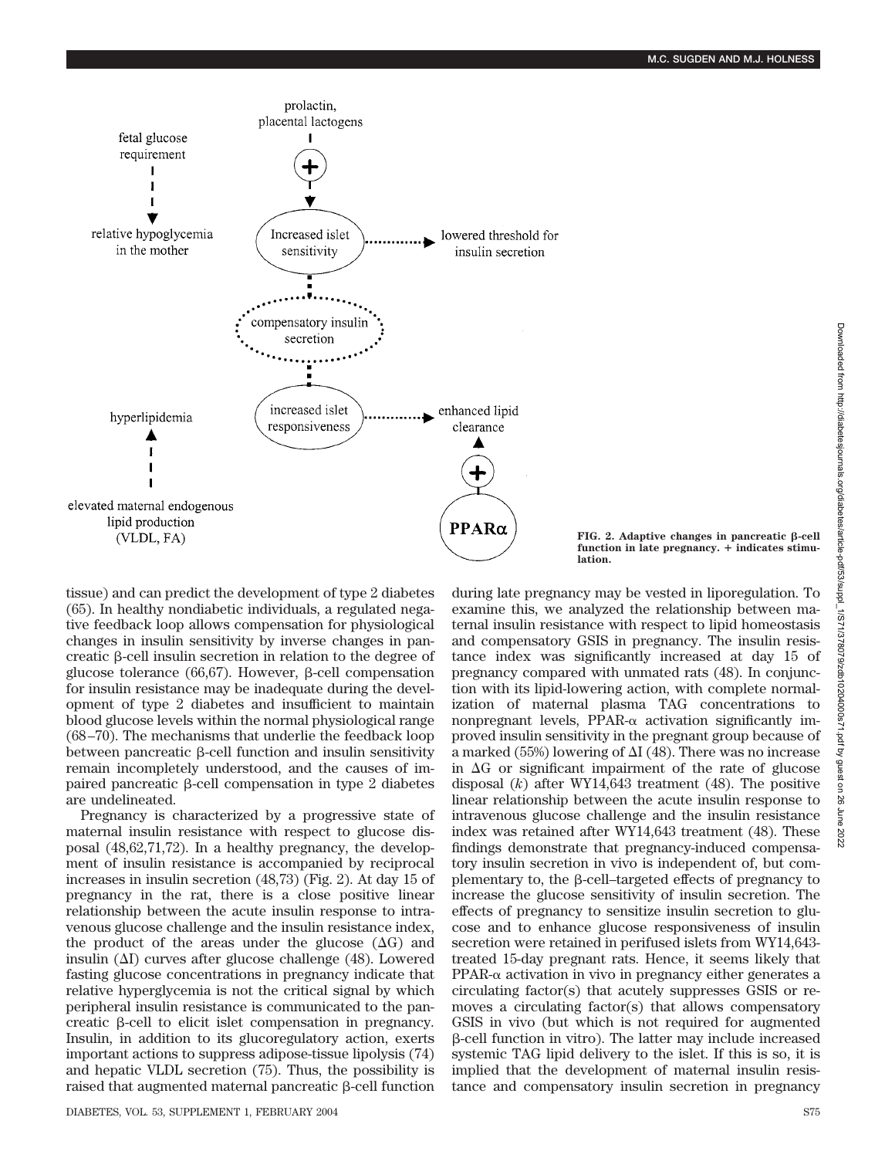

 $FIG. 2. Adaptive changes in pancreate  $\beta$ -cell$ function in late pregnancy. + indicates stimu**lation.**

tissue) and can predict the development of type 2 diabetes (65). In healthy nondiabetic individuals, a regulated negative feedback loop allows compensation for physiological changes in insulin sensitivity by inverse changes in pancreatic  $\beta$ -cell insulin secretion in relation to the degree of glucose tolerance  $(66,67)$ . However,  $\beta$ -cell compensation for insulin resistance may be inadequate during the development of type 2 diabetes and insufficient to maintain blood glucose levels within the normal physiological range (68–70). The mechanisms that underlie the feedback loop between pancreatic  $\beta$ -cell function and insulin sensitivity remain incompletely understood, and the causes of impaired pancreatic  $\beta$ -cell compensation in type 2 diabetes are undelineated.

Pregnancy is characterized by a progressive state of maternal insulin resistance with respect to glucose disposal (48,62,71,72). In a healthy pregnancy, the development of insulin resistance is accompanied by reciprocal increases in insulin secretion (48,73) (Fig. 2). At day 15 of pregnancy in the rat, there is a close positive linear relationship between the acute insulin response to intravenous glucose challenge and the insulin resistance index, the product of the areas under the glucose  $(\Delta G)$  and insulin  $(\Delta I)$  curves after glucose challenge (48). Lowered fasting glucose concentrations in pregnancy indicate that relative hyperglycemia is not the critical signal by which peripheral insulin resistance is communicated to the pancreatic  $\beta$ -cell to elicit islet compensation in pregnancy. Insulin, in addition to its glucoregulatory action, exerts important actions to suppress adipose-tissue lipolysis (74) and hepatic VLDL secretion (75). Thus, the possibility is raised that augmented maternal pancreatic  $\beta$ -cell function

DIABETES, VOL. 53, SUPPLEMENT 1, FEBRUARY 2004 S75

during late pregnancy may be vested in liporegulation. To examine this, we analyzed the relationship between maternal insulin resistance with respect to lipid homeostasis and compensatory GSIS in pregnancy. The insulin resistance index was significantly increased at day 15 of pregnancy compared with unmated rats (48). In conjunction with its lipid-lowering action, with complete normalization of maternal plasma TAG concentrations to nonpregnant levels, PPAR- $\alpha$  activation significantly improved insulin sensitivity in the pregnant group because of a marked (55%) lowering of  $\Delta I$  (48). There was no increase in  $\Delta G$  or significant impairment of the rate of glucose disposal (*k*) after WY14,643 treatment (48). The positive linear relationship between the acute insulin response to intravenous glucose challenge and the insulin resistance index was retained after WY14,643 treatment (48). These findings demonstrate that pregnancy-induced compensatory insulin secretion in vivo is independent of, but complementary to, the  $\beta$ -cell–targeted effects of pregnancy to increase the glucose sensitivity of insulin secretion. The effects of pregnancy to sensitize insulin secretion to glucose and to enhance glucose responsiveness of insulin secretion were retained in perifused islets from WY14,643 treated 15-day pregnant rats. Hence, it seems likely that  $PPAR-\alpha$  activation in vivo in pregnancy either generates a circulating factor(s) that acutely suppresses GSIS or removes a circulating factor(s) that allows compensatory GSIS in vivo (but which is not required for augmented  $\beta$ -cell function in vitro). The latter may include increased systemic TAG lipid delivery to the islet. If this is so, it is implied that the development of maternal insulin resistance and compensatory insulin secretion in pregnancy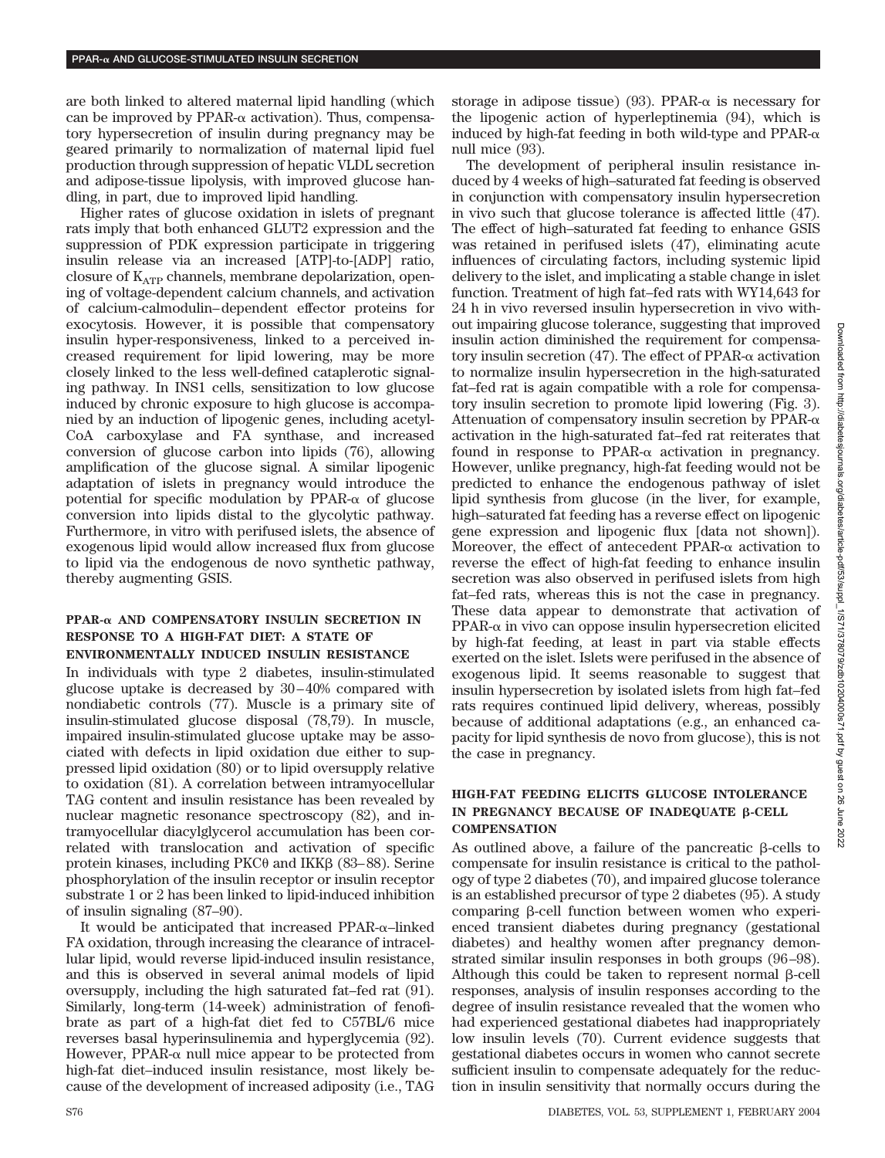are both linked to altered maternal lipid handling (which can be improved by PPAR- $\alpha$  activation). Thus, compensatory hypersecretion of insulin during pregnancy may be geared primarily to normalization of maternal lipid fuel production through suppression of hepatic VLDL secretion and adipose-tissue lipolysis, with improved glucose handling, in part, due to improved lipid handling.

Higher rates of glucose oxidation in islets of pregnant rats imply that both enhanced GLUT2 expression and the suppression of PDK expression participate in triggering insulin release via an increased [ATP]-to-[ADP] ratio, closure of  $K_{ATP}$  channels, membrane depolarization, opening of voltage-dependent calcium channels, and activation of calcium-calmodulin–dependent effector proteins for exocytosis. However, it is possible that compensatory insulin hyper-responsiveness, linked to a perceived increased requirement for lipid lowering, may be more closely linked to the less well-defined cataplerotic signaling pathway. In INS1 cells, sensitization to low glucose induced by chronic exposure to high glucose is accompanied by an induction of lipogenic genes, including acetyl-CoA carboxylase and FA synthase, and increased conversion of glucose carbon into lipids (76), allowing amplification of the glucose signal. A similar lipogenic adaptation of islets in pregnancy would introduce the potential for specific modulation by PPAR- $\alpha$  of glucose conversion into lipids distal to the glycolytic pathway. Furthermore, in vitro with perifused islets, the absence of exogenous lipid would allow increased flux from glucose to lipid via the endogenous de novo synthetic pathway, thereby augmenting GSIS.

## **PPAR- AND COMPENSATORY INSULIN SECRETION IN RESPONSE TO A HIGH-FAT DIET: A STATE OF ENVIRONMENTALLY INDUCED INSULIN RESISTANCE**

In individuals with type 2 diabetes, insulin-stimulated glucose uptake is decreased by 30–40% compared with nondiabetic controls (77). Muscle is a primary site of insulin-stimulated glucose disposal (78,79). In muscle, impaired insulin-stimulated glucose uptake may be associated with defects in lipid oxidation due either to suppressed lipid oxidation (80) or to lipid oversupply relative to oxidation (81). A correlation between intramyocellular TAG content and insulin resistance has been revealed by nuclear magnetic resonance spectroscopy (82), and intramyocellular diacylglycerol accumulation has been correlated with translocation and activation of specific protein kinases, including  $PKC\theta$  and  $IKK\beta$  (83–88). Serine phosphorylation of the insulin receptor or insulin receptor substrate 1 or 2 has been linked to lipid-induced inhibition of insulin signaling (87–90).

It would be anticipated that increased  $PPAR-\alpha$ -linked FA oxidation, through increasing the clearance of intracellular lipid, would reverse lipid-induced insulin resistance, and this is observed in several animal models of lipid oversupply, including the high saturated fat–fed rat (91). Similarly, long-term (14-week) administration of fenofibrate as part of a high-fat diet fed to C57BL/6 mice reverses basal hyperinsulinemia and hyperglycemia (92). However, PPAR- $\alpha$  null mice appear to be protected from high-fat diet–induced insulin resistance, most likely because of the development of increased adiposity (i.e., TAG

storage in adipose tissue) (93). PPAR- $\alpha$  is necessary for the lipogenic action of hyperleptinemia (94), which is induced by high-fat feeding in both wild-type and  $PPAR-\alpha$ null mice (93).

The development of peripheral insulin resistance induced by 4 weeks of high–saturated fat feeding is observed in conjunction with compensatory insulin hypersecretion in vivo such that glucose tolerance is affected little (47). The effect of high–saturated fat feeding to enhance GSIS was retained in perifused islets (47), eliminating acute influences of circulating factors, including systemic lipid delivery to the islet, and implicating a stable change in islet function. Treatment of high fat–fed rats with WY14,643 for 24 h in vivo reversed insulin hypersecretion in vivo without impairing glucose tolerance, suggesting that improved insulin action diminished the requirement for compensatory insulin secretion  $(47)$ . The effect of PPAR- $\alpha$  activation to normalize insulin hypersecretion in the high-saturated fat–fed rat is again compatible with a role for compensatory insulin secretion to promote lipid lowering (Fig. 3). Attenuation of compensatory insulin secretion by PPAR- $\alpha$ activation in the high-saturated fat–fed rat reiterates that found in response to PPAR- $\alpha$  activation in pregnancy. However, unlike pregnancy, high-fat feeding would not be predicted to enhance the endogenous pathway of islet lipid synthesis from glucose (in the liver, for example, high–saturated fat feeding has a reverse effect on lipogenic gene expression and lipogenic flux [data not shown]). Moreover, the effect of antecedent PPAR- $\alpha$  activation to reverse the effect of high-fat feeding to enhance insulin secretion was also observed in perifused islets from high fat–fed rats, whereas this is not the case in pregnancy. These data appear to demonstrate that activation of  $PPAR-\alpha$  in vivo can oppose insulin hypersecretion elicited by high-fat feeding, at least in part via stable effects exerted on the islet. Islets were perifused in the absence of exogenous lipid. It seems reasonable to suggest that insulin hypersecretion by isolated islets from high fat–fed rats requires continued lipid delivery, whereas, possibly because of additional adaptations (e.g., an enhanced capacity for lipid synthesis de novo from glucose), this is not the case in pregnancy.

# **HIGH-FAT FEEDING ELICITS GLUCOSE INTOLERANCE** IN PREGNANCY BECAUSE OF INADEQUATE *B***-CELL COMPENSATION**

As outlined above, a failure of the pancreatic  $\beta$ -cells to compensate for insulin resistance is critical to the pathology of type 2 diabetes (70), and impaired glucose tolerance is an established precursor of type 2 diabetes (95). A study comparing  $\beta$ -cell function between women who experienced transient diabetes during pregnancy (gestational diabetes) and healthy women after pregnancy demonstrated similar insulin responses in both groups (96–98). Although this could be taken to represent normal  $\beta$ -cell responses, analysis of insulin responses according to the degree of insulin resistance revealed that the women who had experienced gestational diabetes had inappropriately low insulin levels (70). Current evidence suggests that gestational diabetes occurs in women who cannot secrete sufficient insulin to compensate adequately for the reduction in insulin sensitivity that normally occurs during the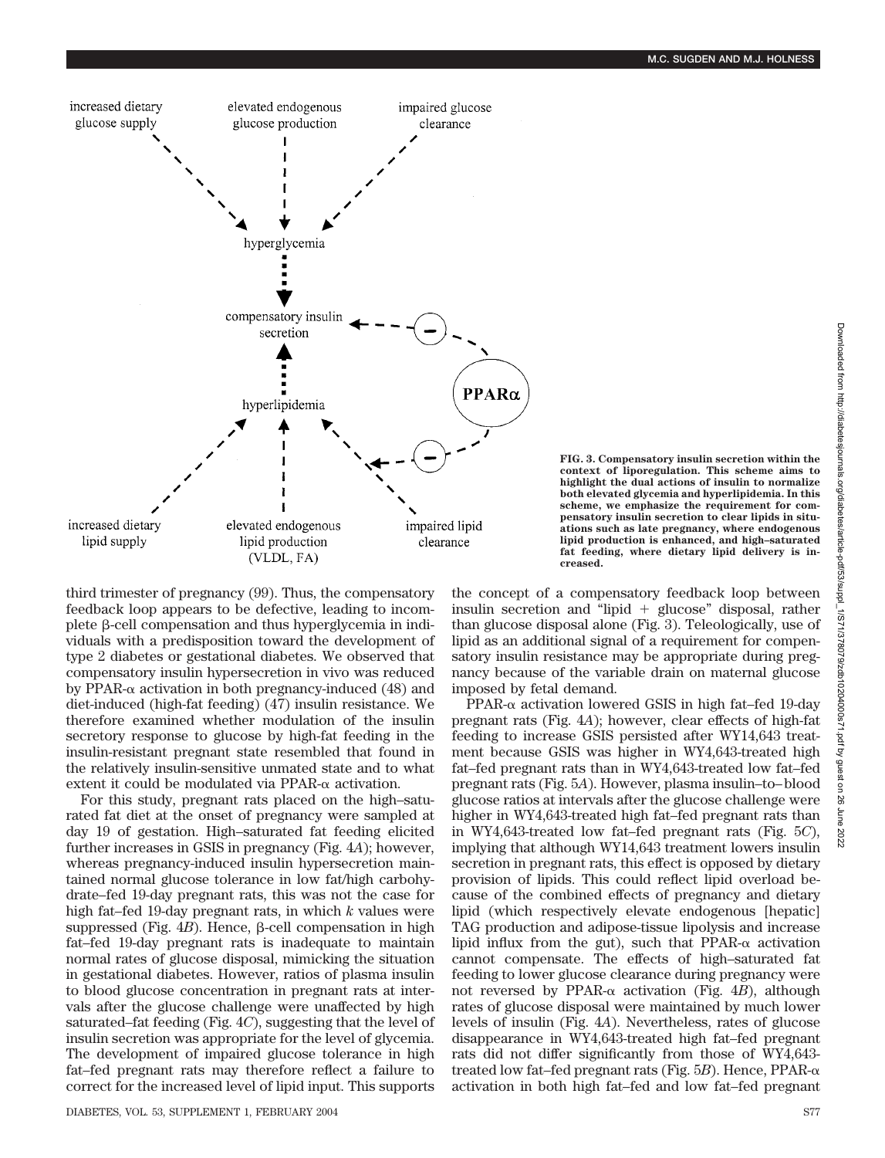

**FIG. 3. Compensatory insulin secretion within the context of liporegulation. This scheme aims to highlight the dual actions of insulin to normalize both elevated glycemia and hyperlipidemia. In this scheme, we emphasize the requirement for compensatory insulin secretion to clear lipids in situations such as late pregnancy, where endogenous lipid production is enhanced, and high–saturated fat feeding, where dietary lipid delivery is increased.**

third trimester of pregnancy (99). Thus, the compensatory feedback loop appears to be defective, leading to incomplete  $\beta$ -cell compensation and thus hyperglycemia in individuals with a predisposition toward the development of type 2 diabetes or gestational diabetes. We observed that compensatory insulin hypersecretion in vivo was reduced by PPAR- $\alpha$  activation in both pregnancy-induced (48) and diet-induced (high-fat feeding) (47) insulin resistance. We therefore examined whether modulation of the insulin secretory response to glucose by high-fat feeding in the insulin-resistant pregnant state resembled that found in the relatively insulin-sensitive unmated state and to what extent it could be modulated via PPAR- $\alpha$  activation.

For this study, pregnant rats placed on the high–saturated fat diet at the onset of pregnancy were sampled at day 19 of gestation. High–saturated fat feeding elicited further increases in GSIS in pregnancy (Fig. 4*A*); however, whereas pregnancy-induced insulin hypersecretion maintained normal glucose tolerance in low fat/high carbohydrate–fed 19-day pregnant rats, this was not the case for high fat–fed 19-day pregnant rats, in which *k* values were suppressed (Fig.  $4B$ ). Hence,  $\beta$ -cell compensation in high fat–fed 19-day pregnant rats is inadequate to maintain normal rates of glucose disposal, mimicking the situation in gestational diabetes. However, ratios of plasma insulin to blood glucose concentration in pregnant rats at intervals after the glucose challenge were unaffected by high saturated–fat feeding (Fig. 4*C*), suggesting that the level of insulin secretion was appropriate for the level of glycemia. The development of impaired glucose tolerance in high fat–fed pregnant rats may therefore reflect a failure to correct for the increased level of lipid input. This supports the concept of a compensatory feedback loop between insulin secretion and "lipid  $+$  glucose" disposal, rather than glucose disposal alone (Fig. 3). Teleologically, use of lipid as an additional signal of a requirement for compensatory insulin resistance may be appropriate during pregnancy because of the variable drain on maternal glucose imposed by fetal demand.

PPAR- $\alpha$  activation lowered GSIS in high fat–fed 19-day pregnant rats (Fig. 4*A*); however, clear effects of high-fat feeding to increase GSIS persisted after WY14,643 treatment because GSIS was higher in WY4,643-treated high fat–fed pregnant rats than in WY4,643-treated low fat–fed pregnant rats (Fig. 5*A*). However, plasma insulin–to–blood glucose ratios at intervals after the glucose challenge were higher in WY4,643-treated high fat–fed pregnant rats than in WY4,643-treated low fat–fed pregnant rats (Fig. 5*C*), implying that although WY14,643 treatment lowers insulin secretion in pregnant rats, this effect is opposed by dietary provision of lipids. This could reflect lipid overload because of the combined effects of pregnancy and dietary lipid (which respectively elevate endogenous [hepatic] TAG production and adipose-tissue lipolysis and increase lipid influx from the gut), such that  $PPAR-\alpha$  activation cannot compensate. The effects of high–saturated fat feeding to lower glucose clearance during pregnancy were not reversed by PPAR- $\alpha$  activation (Fig. 4*B*), although rates of glucose disposal were maintained by much lower levels of insulin (Fig. 4*A*). Nevertheless, rates of glucose disappearance in WY4,643-treated high fat–fed pregnant rats did not differ significantly from those of WY4,643 treated low fat–fed pregnant rats (Fig. 5B). Hence, PPAR- $\alpha$ activation in both high fat–fed and low fat–fed pregnant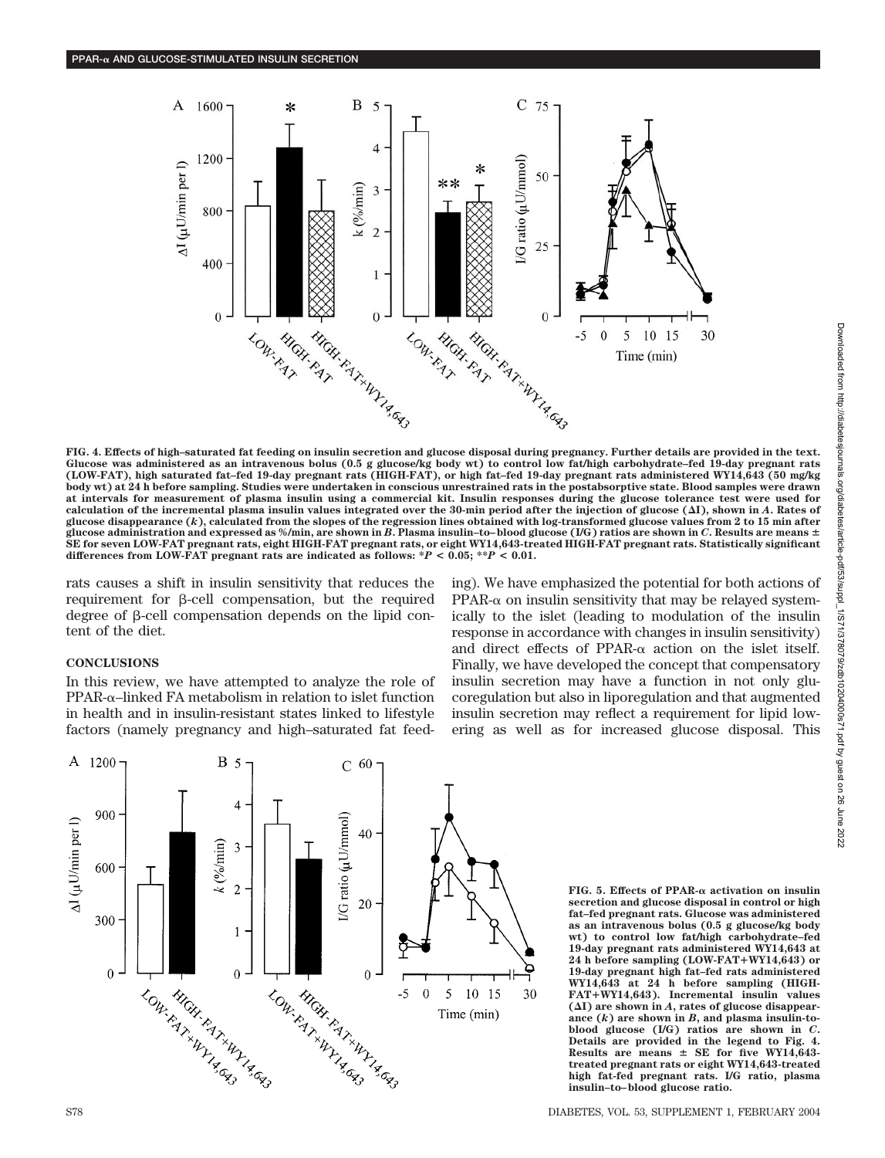

**FIG. 4. Effects of high–saturated fat feeding on insulin secretion and glucose disposal during pregnancy. Further details are provided in the text. Glucose was administered as an intravenous bolus (0.5 g glucose/kg body wt) to control low fat/high carbohydrate–fed 19-day pregnant rats (LOW-FAT), high saturated fat–fed 19-day pregnant rats (HIGH-FAT), or high fat–fed 19-day pregnant rats administered WY14,643 (50 mg/kg body wt) at 24 h before sampling. Studies were undertaken in conscious unrestrained rats in the postabsorptive state. Blood samples were drawn at intervals for measurement of plasma insulin using a commercial kit. Insulin responses during the glucose tolerance test were used for calculation of the incremental plasma insulin values integrated over the 30-min period after the injection of glucose (I), shown in** *A***. Rates of glucose disappearance (***k***), calculated from the slopes of the regression lines obtained with log-transformed glucose values from 2 to 15 min after glucose administration and expressed as %/min, are shown in** *B***. Plasma insulin–to–blood glucose (I/G) ratios are shown in** *C***. Results are means SE for seven LOW-FAT pregnant rats, eight HIGH-FAT pregnant rats, or eight WY14,643-treated HIGH-FAT pregnant rats. Statistically significant differences from LOW-FAT pregnant rats are indicated as follows: \****P* **< 0.05; \*\****P* **< 0.01.**

rats causes a shift in insulin sensitivity that reduces the requirement for  $\beta$ -cell compensation, but the required degree of  $\beta$ -cell compensation depends on the lipid content of the diet.

#### **CONCLUSIONS**

In this review, we have attempted to analyze the role of  $PPAR-\alpha$ –linked FA metabolism in relation to islet function in health and in insulin-resistant states linked to lifestyle factors (namely pregnancy and high–saturated fat feeding). We have emphasized the potential for both actions of  $PPAR-\alpha$  on insulin sensitivity that may be relayed systemically to the islet (leading to modulation of the insulin response in accordance with changes in insulin sensitivity) and direct effects of PPAR- $\alpha$  action on the islet itself. Finally, we have developed the concept that compensatory insulin secretion may have a function in not only glucoregulation but also in liporegulation and that augmented insulin secretion may reflect a requirement for lipid lowering as well as for increased glucose disposal. This



**FIG. 5. Effects of PPAR- activation on insulin secretion and glucose disposal in control or high fat–fed pregnant rats. Glucose was administered as an intravenous bolus (0.5 g glucose/kg body wt) to control low fat/high carbohydrate–fed 19-day pregnant rats administered WY14,643 at 24 h before sampling (LOW-FAT**-**WY14,643) or 19-day pregnant high fat–fed rats administered WY14,643 at 24 h before sampling (HIGH-FAT**-**WY14,643). Incremental insulin values (I) are shown in** *A***, rates of glucose disappearance (***k***) are shown in** *B***, and plasma insulin-toblood glucose (I/G) ratios are shown in** *C***. Details are provided in the legend to Fig. 4. Results are means SE for five WY14,643 treated pregnant rats or eight WY14,643-treated high fat-fed pregnant rats. I/G ratio, plasma insulin–to–blood glucose ratio.**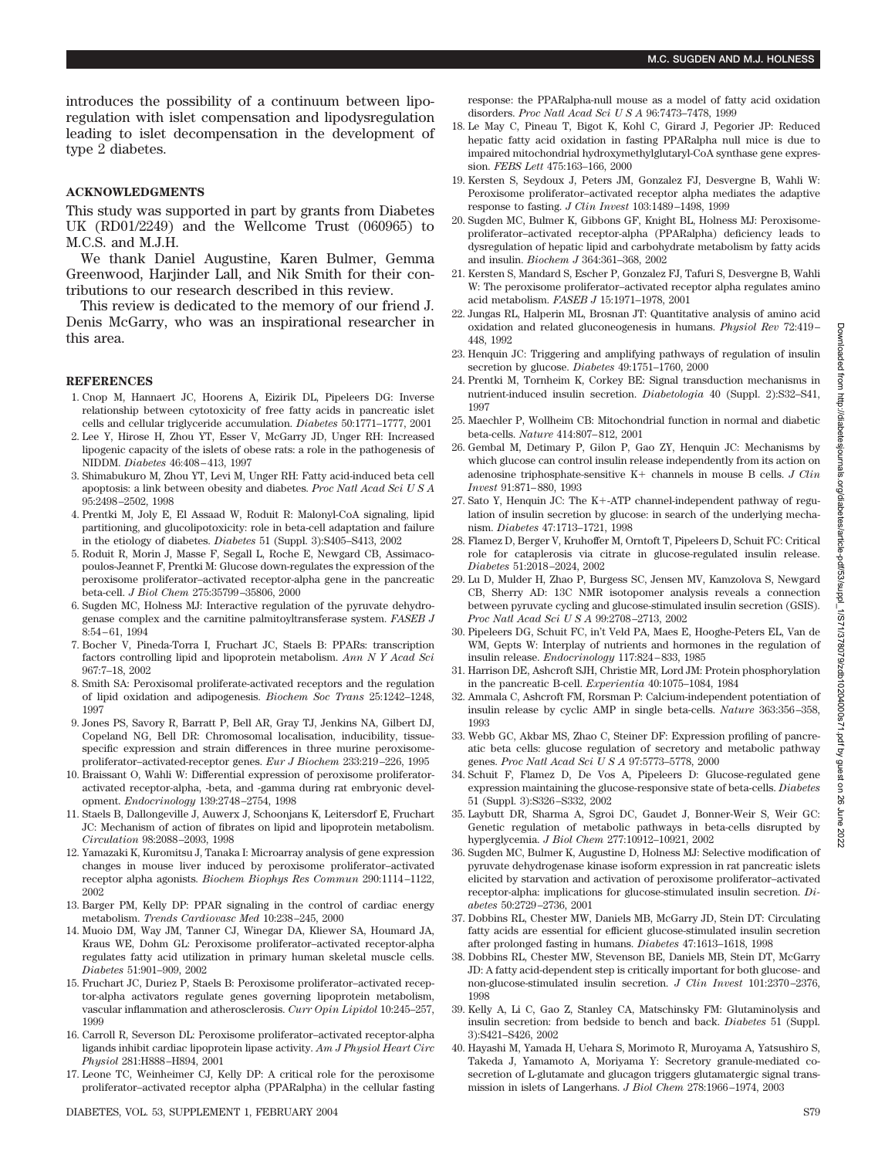introduces the possibility of a continuum between liporegulation with islet compensation and lipodysregulation leading to islet decompensation in the development of type 2 diabetes.

#### **ACKNOWLEDGMENTS**

This study was supported in part by grants from Diabetes UK (RD01/2249) and the Wellcome Trust (060965) to M.C.S. and M.J.H.

We thank Daniel Augustine, Karen Bulmer, Gemma Greenwood, Harjinder Lall, and Nik Smith for their contributions to our research described in this review.

This review is dedicated to the memory of our friend J. Denis McGarry, who was an inspirational researcher in this area.

#### **REFERENCES**

- 1. Cnop M, Hannaert JC, Hoorens A, Eizirik DL, Pipeleers DG: Inverse relationship between cytotoxicity of free fatty acids in pancreatic islet cells and cellular triglyceride accumulation. *Diabetes* 50:1771–1777, 2001
- 2. Lee Y, Hirose H, Zhou YT, Esser V, McGarry JD, Unger RH: Increased lipogenic capacity of the islets of obese rats: a role in the pathogenesis of NIDDM. *Diabetes* 46:408–413, 1997
- 3. Shimabukuro M, Zhou YT, Levi M, Unger RH: Fatty acid-induced beta cell apoptosis: a link between obesity and diabetes. *Proc Natl Acad SciUSA* 95:2498–2502, 1998
- 4. Prentki M, Joly E, El Assaad W, Roduit R: Malonyl-CoA signaling, lipid partitioning, and glucolipotoxicity: role in beta-cell adaptation and failure in the etiology of diabetes. *Diabetes* 51 (Suppl. 3):S405–S413, 2002
- 5. Roduit R, Morin J, Masse F, Segall L, Roche E, Newgard CB, Assimacopoulos-Jeannet F, Prentki M: Glucose down-regulates the expression of the peroxisome proliferator–activated receptor-alpha gene in the pancreatic beta-cell. *J Biol Chem* 275:35799–35806, 2000
- 6. Sugden MC, Holness MJ: Interactive regulation of the pyruvate dehydrogenase complex and the carnitine palmitoyltransferase system. *FASEB J* 8:54–61, 1994
- 7. Bocher V, Pineda-Torra I, Fruchart JC, Staels B: PPARs: transcription factors controlling lipid and lipoprotein metabolism. *Ann N Y Acad Sci* 967:7–18, 2002
- 8. Smith SA: Peroxisomal proliferate-activated receptors and the regulation of lipid oxidation and adipogenesis. *Biochem Soc Trans* 25:1242–1248, 1997
- 9. Jones PS, Savory R, Barratt P, Bell AR, Gray TJ, Jenkins NA, Gilbert DJ, Copeland NG, Bell DR: Chromosomal localisation, inducibility, tissuespecific expression and strain differences in three murine peroxisomeproliferator–activated-receptor genes. *Eur J Biochem* 233:219–226, 1995
- 10. Braissant O, Wahli W: Differential expression of peroxisome proliferatoractivated receptor-alpha, -beta, and -gamma during rat embryonic development. *Endocrinology* 139:2748–2754, 1998
- 11. Staels B, Dallongeville J, Auwerx J, Schoonjans K, Leitersdorf E, Fruchart JC: Mechanism of action of fibrates on lipid and lipoprotein metabolism. *Circulation* 98:2088–2093, 1998
- 12. Yamazaki K, Kuromitsu J, Tanaka I: Microarray analysis of gene expression changes in mouse liver induced by peroxisome proliferator–activated receptor alpha agonists. *Biochem Biophys Res Commun* 290:1114–1122, 2002
- 13. Barger PM, Kelly DP: PPAR signaling in the control of cardiac energy metabolism. *Trends Cardiovasc Med* 10:238–245, 2000
- 14. Muoio DM, Way JM, Tanner CJ, Winegar DA, Kliewer SA, Houmard JA, Kraus WE, Dohm GL: Peroxisome proliferator–activated receptor-alpha regulates fatty acid utilization in primary human skeletal muscle cells. *Diabetes* 51:901–909, 2002
- 15. Fruchart JC, Duriez P, Staels B: Peroxisome proliferator–activated receptor-alpha activators regulate genes governing lipoprotein metabolism, vascular inflammation and atherosclerosis. *Curr Opin Lipidol* 10:245–257, 1999
- 16. Carroll R, Severson DL: Peroxisome proliferator–activated receptor-alpha ligands inhibit cardiac lipoprotein lipase activity. *Am J Physiol Heart Circ Physiol* 281:H888–H894, 2001
- 17. Leone TC, Weinheimer CJ, Kelly DP: A critical role for the peroxisome proliferator–activated receptor alpha (PPARalpha) in the cellular fasting

response: the PPARalpha-null mouse as a model of fatty acid oxidation disorders. *Proc Natl Acad SciUSA* 96:7473–7478, 1999

- 18. Le May C, Pineau T, Bigot K, Kohl C, Girard J, Pegorier JP: Reduced hepatic fatty acid oxidation in fasting PPARalpha null mice is due to impaired mitochondrial hydroxymethylglutaryl-CoA synthase gene expression. *FEBS Lett* 475:163–166, 2000
- 19. Kersten S, Seydoux J, Peters JM, Gonzalez FJ, Desvergne B, Wahli W: Peroxisome proliferator–activated receptor alpha mediates the adaptive response to fasting. *J Clin Invest* 103:1489–1498, 1999
- 20. Sugden MC, Bulmer K, Gibbons GF, Knight BL, Holness MJ: Peroxisomeproliferator–activated receptor-alpha (PPARalpha) deficiency leads to dysregulation of hepatic lipid and carbohydrate metabolism by fatty acids and insulin. *Biochem J* 364:361–368, 2002
- 21. Kersten S, Mandard S, Escher P, Gonzalez FJ, Tafuri S, Desvergne B, Wahli W: The peroxisome proliferator–activated receptor alpha regulates amino acid metabolism. *FASEB J* 15:1971–1978, 2001
- 22. Jungas RL, Halperin ML, Brosnan JT: Quantitative analysis of amino acid oxidation and related gluconeogenesis in humans. *Physiol Rev* 72:419– 448, 1992
- 23. Henquin JC: Triggering and amplifying pathways of regulation of insulin secretion by glucose. *Diabetes* 49:1751–1760, 2000
- 24. Prentki M, Tornheim K, Corkey BE: Signal transduction mechanisms in nutrient-induced insulin secretion. *Diabetologia* 40 (Suppl. 2):S32–S41, 1997
- 25. Maechler P, Wollheim CB: Mitochondrial function in normal and diabetic beta-cells. *Nature* 414:807–812, 2001
- 26. Gembal M, Detimary P, Gilon P, Gao ZY, Henquin JC: Mechanisms by which glucose can control insulin release independently from its action on adenosine triphosphate-sensitive K+ channels in mouse B cells. *J Clin Invest* 91:871–880, 1993
- 27. Sato Y, Henquin JC: The K+-ATP channel-independent pathway of regulation of insulin secretion by glucose: in search of the underlying mechanism. *Diabetes* 47:1713–1721, 1998
- 28. Flamez D, Berger V, Kruhoffer M, Orntoft T, Pipeleers D, Schuit FC: Critical role for cataplerosis via citrate in glucose-regulated insulin release. *Diabetes* 51:2018–2024, 2002
- 29. Lu D, Mulder H, Zhao P, Burgess SC, Jensen MV, Kamzolova S, Newgard CB, Sherry AD: 13C NMR isotopomer analysis reveals a connection between pyruvate cycling and glucose-stimulated insulin secretion (GSIS). *Proc Natl Acad SciUSA* 99:2708–2713, 2002
- 30. Pipeleers DG, Schuit FC, in't Veld PA, Maes E, Hooghe-Peters EL, Van de WM, Gepts W: Interplay of nutrients and hormones in the regulation of insulin release. *Endocrinology* 117:824–833, 1985
- 31. Harrison DE, Ashcroft SJH, Christie MR, Lord JM: Protein phosphorylation in the pancreatic B-cell. *Experientia* 40:1075–1084, 1984
- 32. Ammala C, Ashcroft FM, Rorsman P: Calcium-independent potentiation of insulin release by cyclic AMP in single beta-cells. *Nature* 363:356–358, 1993
- 33. Webb GC, Akbar MS, Zhao C, Steiner DF: Expression profiling of pancreatic beta cells: glucose regulation of secretory and metabolic pathway genes. *Proc Natl Acad SciUSA* 97:5773–5778, 2000
- 34. Schuit F, Flamez D, De Vos A, Pipeleers D: Glucose-regulated gene expression maintaining the glucose-responsive state of beta-cells. *Diabetes* 51 (Suppl. 3):S326–S332, 2002
- 35. Laybutt DR, Sharma A, Sgroi DC, Gaudet J, Bonner-Weir S, Weir GC: Genetic regulation of metabolic pathways in beta-cells disrupted by hyperglycemia. *J Biol Chem* 277:10912–10921, 2002
- 36. Sugden MC, Bulmer K, Augustine D, Holness MJ: Selective modification of pyruvate dehydrogenase kinase isoform expression in rat pancreatic islets elicited by starvation and activation of peroxisome proliferator–activated receptor-alpha: implications for glucose-stimulated insulin secretion. *Diabetes* 50:2729–2736, 2001
- 37. Dobbins RL, Chester MW, Daniels MB, McGarry JD, Stein DT: Circulating fatty acids are essential for efficient glucose-stimulated insulin secretion after prolonged fasting in humans. *Diabetes* 47:1613–1618, 1998
- 38. Dobbins RL, Chester MW, Stevenson BE, Daniels MB, Stein DT, McGarry JD: A fatty acid-dependent step is critically important for both glucose- and non-glucose-stimulated insulin secretion. *J Clin Invest* 101:2370–2376, 1998
- 39. Kelly A, Li C, Gao Z, Stanley CA, Matschinsky FM: Glutaminolysis and insulin secretion: from bedside to bench and back. *Diabetes* 51 (Suppl. 3):S421–S426, 2002
- 40. Hayashi M, Yamada H, Uehara S, Morimoto R, Muroyama A, Yatsushiro S, Takeda J, Yamamoto A, Moriyama Y: Secretory granule-mediated cosecretion of L-glutamate and glucagon triggers glutamatergic signal transmission in islets of Langerhans. *J Biol Chem* 278:1966–1974, 2003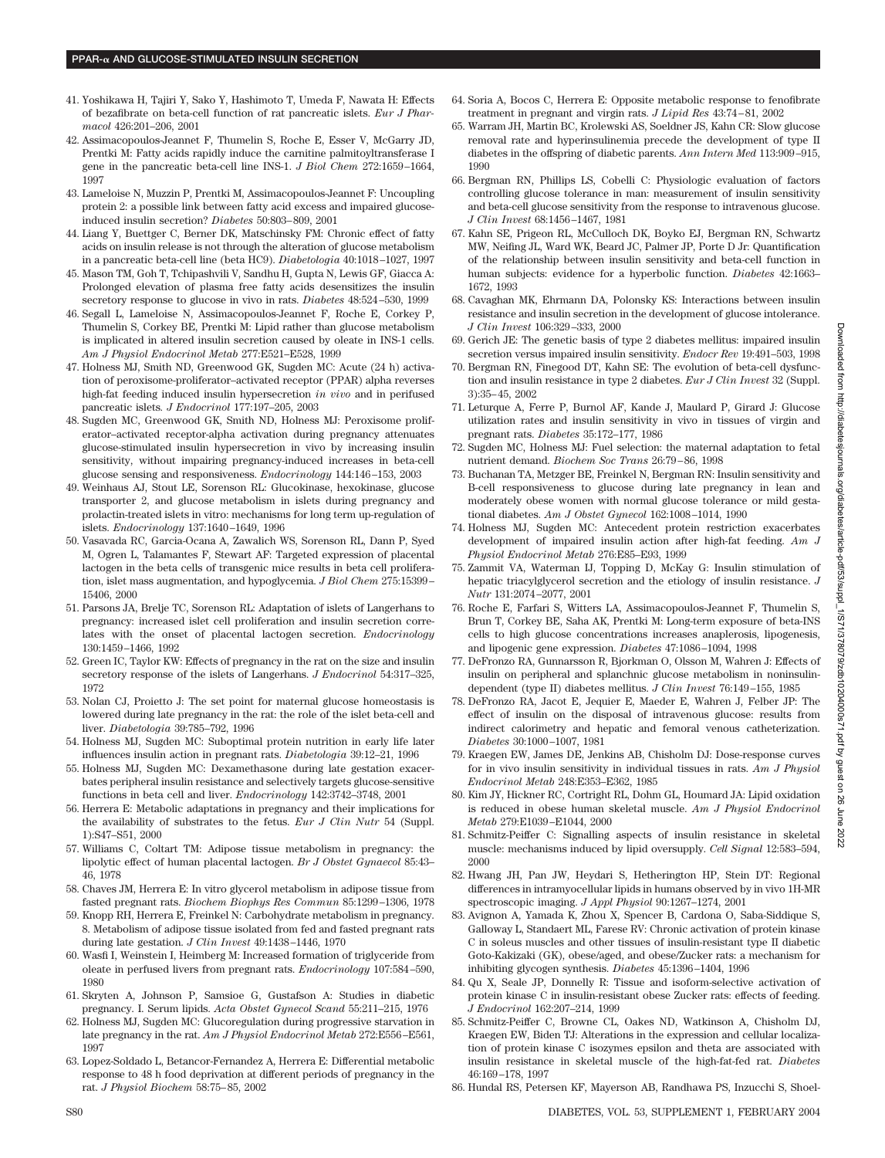- 41. Yoshikawa H, Tajiri Y, Sako Y, Hashimoto T, Umeda F, Nawata H: Effects of bezafibrate on beta-cell function of rat pancreatic islets. *Eur J Pharmacol* 426:201–206, 2001
- 42. Assimacopoulos-Jeannet F, Thumelin S, Roche E, Esser V, McGarry JD, Prentki M: Fatty acids rapidly induce the carnitine palmitoyltransferase I gene in the pancreatic beta-cell line INS-1. *J Biol Chem* 272:1659–1664, 1997
- 43. Lameloise N, Muzzin P, Prentki M, Assimacopoulos-Jeannet F: Uncoupling protein 2: a possible link between fatty acid excess and impaired glucoseinduced insulin secretion? *Diabetes* 50:803–809, 2001
- 44. Liang Y, Buettger C, Berner DK, Matschinsky FM: Chronic effect of fatty acids on insulin release is not through the alteration of glucose metabolism in a pancreatic beta-cell line (beta HC9). *Diabetologia* 40:1018–1027, 1997
- 45. Mason TM, Goh T, Tchipashvili V, Sandhu H, Gupta N, Lewis GF, Giacca A: Prolonged elevation of plasma free fatty acids desensitizes the insulin secretory response to glucose in vivo in rats. *Diabetes* 48:524–530, 1999
- 46. Segall L, Lameloise N, Assimacopoulos-Jeannet F, Roche E, Corkey P, Thumelin S, Corkey BE, Prentki M: Lipid rather than glucose metabolism is implicated in altered insulin secretion caused by oleate in INS-1 cells. *Am J Physiol Endocrinol Metab* 277:E521–E528, 1999
- 47. Holness MJ, Smith ND, Greenwood GK, Sugden MC: Acute (24 h) activation of peroxisome-proliferator–activated receptor (PPAR) alpha reverses high-fat feeding induced insulin hypersecretion *in vivo* and in perifused pancreatic islets*. J Endocrinol* 177:197–205, 2003
- 48. Sugden MC, Greenwood GK, Smith ND, Holness MJ: Peroxisome proliferator–activated receptor-alpha activation during pregnancy attenuates glucose-stimulated insulin hypersecretion in vivo by increasing insulin sensitivity, without impairing pregnancy-induced increases in beta-cell glucose sensing and responsiveness. *Endocrinology* 144:146–153, 2003
- 49. Weinhaus AJ, Stout LE, Sorenson RL: Glucokinase, hexokinase, glucose transporter 2, and glucose metabolism in islets during pregnancy and prolactin-treated islets in vitro: mechanisms for long term up-regulation of islets. *Endocrinology* 137:1640–1649, 1996
- 50. Vasavada RC, Garcia-Ocana A, Zawalich WS, Sorenson RL, Dann P, Syed M, Ogren L, Talamantes F, Stewart AF: Targeted expression of placental lactogen in the beta cells of transgenic mice results in beta cell proliferation, islet mass augmentation, and hypoglycemia. *J Biol Chem* 275:15399– 15406, 2000
- 51. Parsons JA, Brelje TC, Sorenson RL: Adaptation of islets of Langerhans to pregnancy: increased islet cell proliferation and insulin secretion correlates with the onset of placental lactogen secretion. *Endocrinology* 130:1459–1466, 1992
- 52. Green IC, Taylor KW: Effects of pregnancy in the rat on the size and insulin secretory response of the islets of Langerhans. *J Endocrinol* 54:317–325, 1972
- 53. Nolan CJ, Proietto J: The set point for maternal glucose homeostasis is lowered during late pregnancy in the rat: the role of the islet beta-cell and liver. *Diabetologia* 39:785–792, 1996
- 54. Holness MJ, Sugden MC: Suboptimal protein nutrition in early life later influences insulin action in pregnant rats. *Diabetologia* 39:12–21, 1996
- 55. Holness MJ, Sugden MC: Dexamethasone during late gestation exacerbates peripheral insulin resistance and selectively targets glucose-sensitive functions in beta cell and liver. *Endocrinology* 142:3742–3748, 2001
- 56. Herrera E: Metabolic adaptations in pregnancy and their implications for the availability of substrates to the fetus. *Eur J Clin Nutr* 54 (Suppl. 1):S47–S51, 2000
- 57. Williams C, Coltart TM: Adipose tissue metabolism in pregnancy: the lipolytic effect of human placental lactogen. *Br J Obstet Gynaecol* 85:43– 46, 1978
- 58. Chaves JM, Herrera E: In vitro glycerol metabolism in adipose tissue from fasted pregnant rats. *Biochem Biophys Res Commun* 85:1299–1306, 1978
- 59. Knopp RH, Herrera E, Freinkel N: Carbohydrate metabolism in pregnancy. 8. Metabolism of adipose tissue isolated from fed and fasted pregnant rats during late gestation. *J Clin Invest* 49:1438–1446, 1970
- 60. Wasfi I, Weinstein I, Heimberg M: Increased formation of triglyceride from oleate in perfused livers from pregnant rats. *Endocrinology* 107:584–590, 1980
- 61. Skryten A, Johnson P, Samsioe G, Gustafson A: Studies in diabetic pregnancy. I. Serum lipids. *Acta Obstet Gynecol Scand* 55:211–215, 1976
- 62. Holness MJ, Sugden MC: Glucoregulation during progressive starvation in late pregnancy in the rat. *Am J Physiol Endocrinol Metab* 272:E556–E561, 1997
- 63. Lopez-Soldado L, Betancor-Fernandez A, Herrera E: Differential metabolic response to 48 h food deprivation at different periods of pregnancy in the rat. *J Physiol Biochem* 58:75–85, 2002
- 64. Soria A, Bocos C, Herrera E: Opposite metabolic response to fenofibrate treatment in pregnant and virgin rats. *J Lipid Res* 43:74–81, 2002
- 65. Warram JH, Martin BC, Krolewski AS, Soeldner JS, Kahn CR: Slow glucose removal rate and hyperinsulinemia precede the development of type II diabetes in the offspring of diabetic parents. *Ann Intern Med* 113:909–915, 1990
- 66. Bergman RN, Phillips LS, Cobelli C: Physiologic evaluation of factors controlling glucose tolerance in man: measurement of insulin sensitivity and beta-cell glucose sensitivity from the response to intravenous glucose. *J Clin Invest* 68:1456–1467, 1981
- 67. Kahn SE, Prigeon RL, McCulloch DK, Boyko EJ, Bergman RN, Schwartz MW, Neifing JL, Ward WK, Beard JC, Palmer JP, Porte D Jr: Quantification of the relationship between insulin sensitivity and beta-cell function in human subjects: evidence for a hyperbolic function. *Diabetes* 42:1663– 1672, 1993
- 68. Cavaghan MK, Ehrmann DA, Polonsky KS: Interactions between insulin resistance and insulin secretion in the development of glucose intolerance. *J Clin Invest* 106:329–333, 2000
- 69. Gerich JE: The genetic basis of type 2 diabetes mellitus: impaired insulin secretion versus impaired insulin sensitivity. *Endocr Rev* 19:491–503, 1998
- 70. Bergman RN, Finegood DT, Kahn SE: The evolution of beta-cell dysfunction and insulin resistance in type 2 diabetes. *Eur J Clin Invest* 32 (Suppl. 3):35–45, 2002
- 71. Leturque A, Ferre P, Burnol AF, Kande J, Maulard P, Girard J: Glucose utilization rates and insulin sensitivity in vivo in tissues of virgin and pregnant rats. *Diabetes* 35:172–177, 1986
- 72. Sugden MC, Holness MJ: Fuel selection: the maternal adaptation to fetal nutrient demand. *Biochem Soc Trans* 26:79–86, 1998
- 73. Buchanan TA, Metzger BE, Freinkel N, Bergman RN: Insulin sensitivity and B-cell responsiveness to glucose during late pregnancy in lean and moderately obese women with normal glucose tolerance or mild gestational diabetes. *Am J Obstet Gynecol* 162:1008–1014, 1990
- 74. Holness MJ, Sugden MC: Antecedent protein restriction exacerbates development of impaired insulin action after high-fat feeding. *Am J Physiol Endocrinol Metab* 276:E85–E93, 1999
- 75. Zammit VA, Waterman IJ, Topping D, McKay G: Insulin stimulation of hepatic triacylglycerol secretion and the etiology of insulin resistance. *J Nutr* 131:2074–2077, 2001
- 76. Roche E, Farfari S, Witters LA, Assimacopoulos-Jeannet F, Thumelin S, Brun T, Corkey BE, Saha AK, Prentki M: Long-term exposure of beta-INS cells to high glucose concentrations increases anaplerosis, lipogenesis, and lipogenic gene expression. *Diabetes* 47:1086–1094, 1998
- 77. DeFronzo RA, Gunnarsson R, Bjorkman O, Olsson M, Wahren J: Effects of insulin on peripheral and splanchnic glucose metabolism in noninsulindependent (type II) diabetes mellitus. *J Clin Invest* 76:149–155, 1985
- 78. DeFronzo RA, Jacot E, Jequier E, Maeder E, Wahren J, Felber JP: The effect of insulin on the disposal of intravenous glucose: results from indirect calorimetry and hepatic and femoral venous catheterization. *Diabetes* 30:1000–1007, 1981
- 79. Kraegen EW, James DE, Jenkins AB, Chisholm DJ: Dose-response curves for in vivo insulin sensitivity in individual tissues in rats. *Am J Physiol Endocrinol Metab* 248:E353–E362, 1985
- 80. Kim JY, Hickner RC, Cortright RL, Dohm GL, Houmard JA: Lipid oxidation is reduced in obese human skeletal muscle. *Am J Physiol Endocrinol Metab* 279:E1039–E1044, 2000
- 81. Schmitz-Peiffer C: Signalling aspects of insulin resistance in skeletal muscle: mechanisms induced by lipid oversupply. *Cell Signal* 12:583–594, 2000
- 82. Hwang JH, Pan JW, Heydari S, Hetherington HP, Stein DT: Regional differences in intramyocellular lipids in humans observed by in vivo 1H-MR spectroscopic imaging. *J Appl Physiol* 90:1267–1274, 2001
- 83. Avignon A, Yamada K, Zhou X, Spencer B, Cardona O, Saba-Siddique S, Galloway L, Standaert ML, Farese RV: Chronic activation of protein kinase C in soleus muscles and other tissues of insulin-resistant type II diabetic Goto-Kakizaki (GK), obese/aged, and obese/Zucker rats: a mechanism for inhibiting glycogen synthesis. *Diabetes* 45:1396–1404, 1996
- 84. Qu X, Seale JP, Donnelly R: Tissue and isoform-selective activation of protein kinase C in insulin-resistant obese Zucker rats: effects of feeding. *J Endocrinol* 162:207–214, 1999
- 85. Schmitz-Peiffer C, Browne CL, Oakes ND, Watkinson A, Chisholm DJ, Kraegen EW, Biden TJ: Alterations in the expression and cellular localization of protein kinase C isozymes epsilon and theta are associated with insulin resistance in skeletal muscle of the high-fat-fed rat. *Diabetes* 46:169–178, 1997
- 86. Hundal RS, Petersen KF, Mayerson AB, Randhawa PS, Inzucchi S, Shoel-